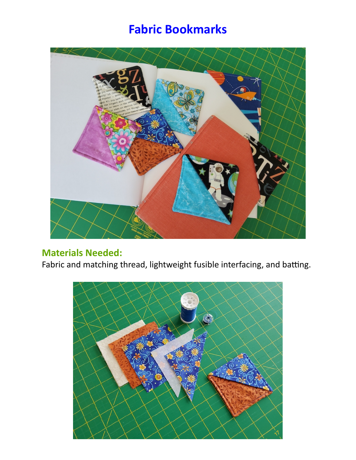## **Fabric Bookmarks**



## **Materials Needed:**

Fabric and matching thread, lightweight fusible interfacing, and batting.